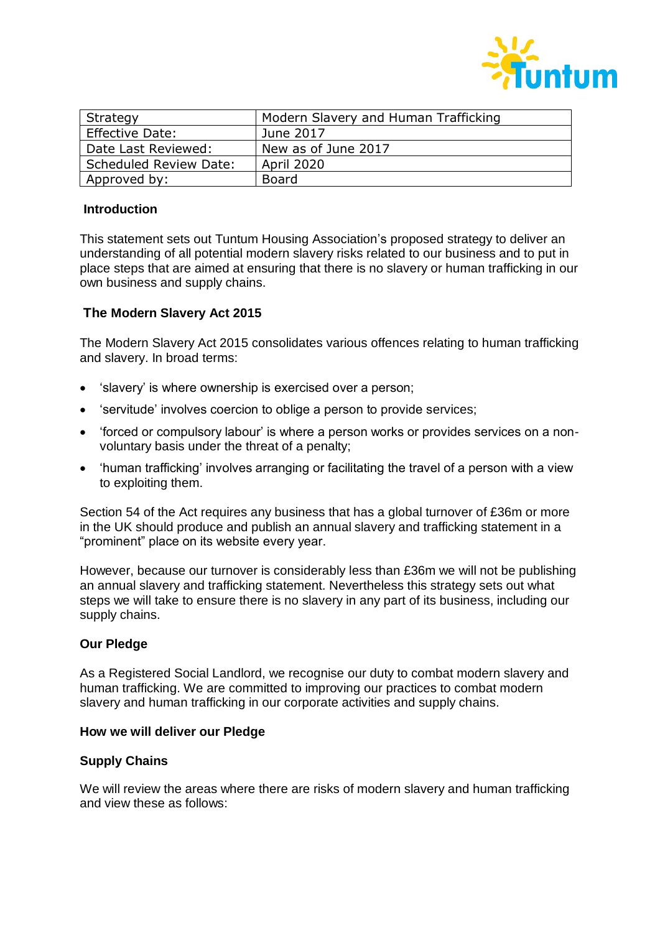

| Strategy                      | Modern Slavery and Human Trafficking |
|-------------------------------|--------------------------------------|
| <b>Effective Date:</b>        | June 2017                            |
| Date Last Reviewed:           | New as of June 2017                  |
| <b>Scheduled Review Date:</b> | <b>April 2020</b>                    |
| Approved by:                  | Board                                |

### **Introduction**

This statement sets out Tuntum Housing Association's proposed strategy to deliver an understanding of all potential modern slavery risks related to our business and to put in place steps that are aimed at ensuring that there is no slavery or human trafficking in our own business and supply chains.

### **The Modern Slavery Act 2015**

The Modern Slavery Act 2015 consolidates various offences relating to human trafficking and slavery. In broad terms:

- 'slavery' is where ownership is exercised over a person;
- 'servitude' involves coercion to oblige a person to provide services;
- 'forced or compulsory labour' is where a person works or provides services on a nonvoluntary basis under the threat of a penalty;
- 'human trafficking' involves arranging or facilitating the travel of a person with a view to exploiting them.

Section 54 of the Act requires any business that has a global turnover of £36m or more in the UK should produce and publish an annual slavery and trafficking statement in a "prominent" place on its website every year.

However, because our turnover is considerably less than £36m we will not be publishing an annual slavery and trafficking statement. Nevertheless this strategy sets out what steps we will take to ensure there is no slavery in any part of its business, including our supply chains.

#### **Our Pledge**

As a Registered Social Landlord, we recognise our duty to combat modern slavery and human trafficking. We are committed to improving our practices to combat modern slavery and human trafficking in our corporate activities and supply chains.

#### **How we will deliver our Pledge**

#### **Supply Chains**

We will review the areas where there are risks of modern slavery and human trafficking and view these as follows: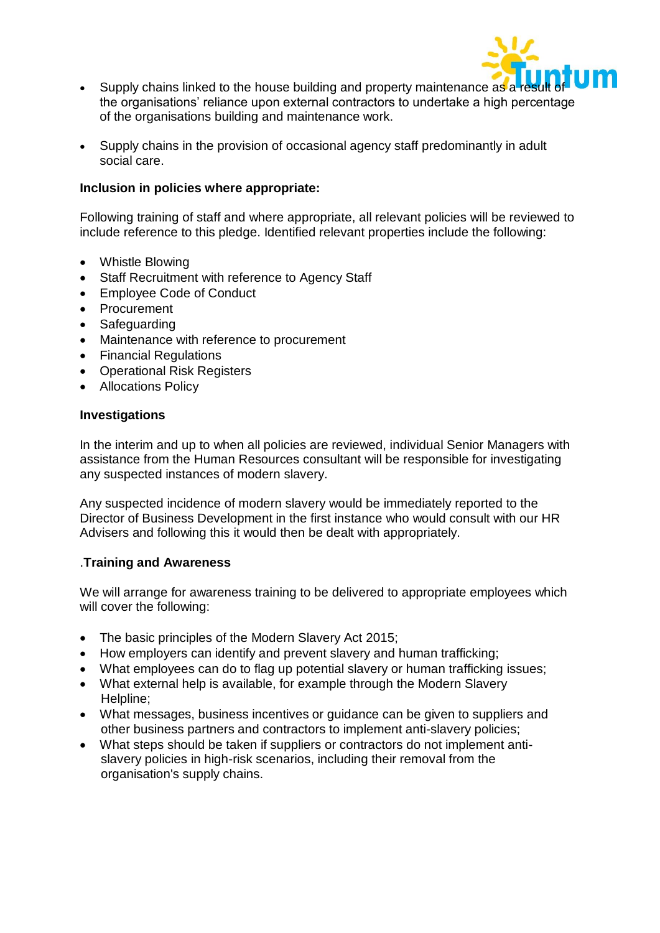

- Supply chains linked to the house building and property maintenance as a the organisations' reliance upon external contractors to undertake a high percentage of the organisations building and maintenance work.
- Supply chains in the provision of occasional agency staff predominantly in adult social care.

# **Inclusion in policies where appropriate:**

Following training of staff and where appropriate, all relevant policies will be reviewed to include reference to this pledge. Identified relevant properties include the following:

- Whistle Blowing
- Staff Recruitment with reference to Agency Staff
- Employee Code of Conduct
- Procurement
- Safeguarding
- Maintenance with reference to procurement
- Financial Regulations
- Operational Risk Registers
- Allocations Policy

## **Investigations**

In the interim and up to when all policies are reviewed, individual Senior Managers with assistance from the Human Resources consultant will be responsible for investigating any suspected instances of modern slavery.

Any suspected incidence of modern slavery would be immediately reported to the Director of Business Development in the first instance who would consult with our HR Advisers and following this it would then be dealt with appropriately.

## .**Training and Awareness**

We will arrange for awareness training to be delivered to appropriate employees which will cover the following:

- The basic principles of the Modern Slavery Act 2015;
- How employers can identify and prevent slavery and human trafficking;
- What employees can do to flag up potential slavery or human trafficking issues;
- What external help is available, for example through the Modern Slavery Helpline;
- What messages, business incentives or guidance can be given to suppliers and other business partners and contractors to implement anti-slavery policies;
- What steps should be taken if suppliers or contractors do not implement anti slavery policies in high-risk scenarios, including their removal from the organisation's supply chains.